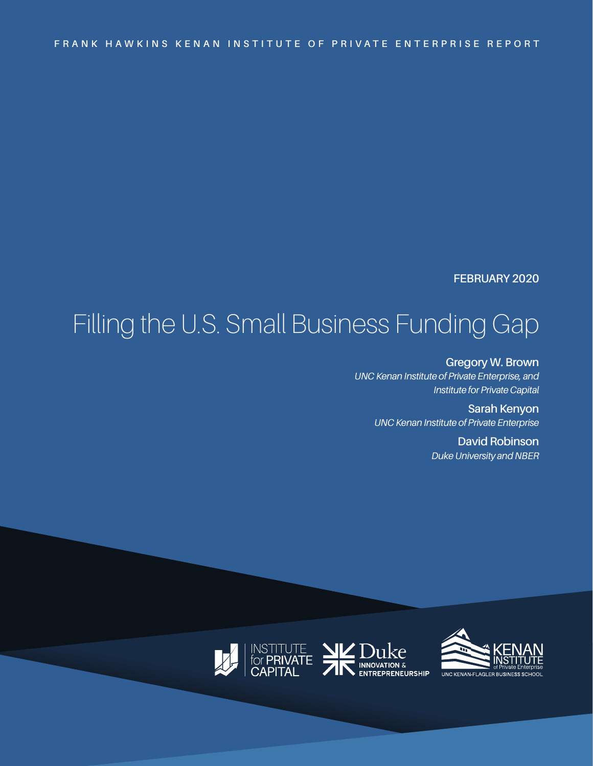### **FEBRUARY 2020**

# Filling the U.S. Small Business Funding Gap

**Gregory W. Brown** *UNC Kenan Institute of Private Enterprise, and Institute for Private Capital*

> **Sarah Kenyon** *UNC Kenan Institute of Private Enterprise*

> > **David Robinson** *Duke University and NBER*







ke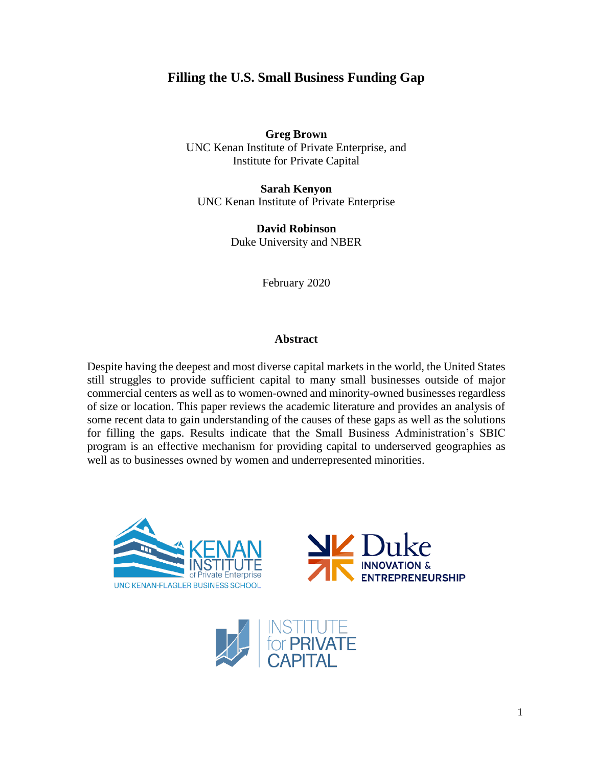# **Filling the U.S. Small Business Funding Gap**

**Greg Brown** UNC Kenan Institute of Private Enterprise, and Institute for Private Capital

**Sarah Kenyon** UNC Kenan Institute of Private Enterprise

> **David Robinson** Duke University and NBER

> > February 2020

#### **Abstract**

Despite having the deepest and most diverse capital markets in the world, the United States still struggles to provide sufficient capital to many small businesses outside of major commercial centers as well as to women-owned and minority-owned businesses regardless of size or location. This paper reviews the academic literature and provides an analysis of some recent data to gain understanding of the causes of these gaps as well as the solutions for filling the gaps. Results indicate that the Small Business Administration's SBIC program is an effective mechanism for providing capital to underserved geographies as well as to businesses owned by women and underrepresented minorities.





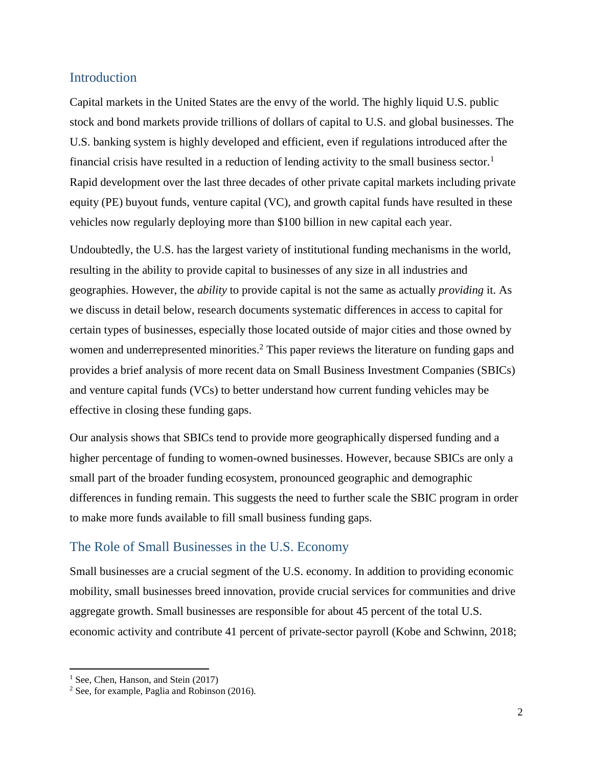## Introduction

Capital markets in the United States are the envy of the world. The highly liquid U.S. public stock and bond markets provide trillions of dollars of capital to U.S. and global businesses. The U.S. banking system is highly developed and efficient, even if regulations introduced after the financial crisis have resulted in a reduction of lending activity to the small business sector.<sup>1</sup> Rapid development over the last three decades of other private capital markets including private equity (PE) buyout funds, venture capital (VC), and growth capital funds have resulted in these vehicles now regularly deploying more than \$100 billion in new capital each year.

Undoubtedly, the U.S. has the largest variety of institutional funding mechanisms in the world, resulting in the ability to provide capital to businesses of any size in all industries and geographies. However, the *ability* to provide capital is not the same as actually *providing* it. As we discuss in detail below, research documents systematic differences in access to capital for certain types of businesses, especially those located outside of major cities and those owned by women and underrepresented minorities.<sup>2</sup> This paper reviews the literature on funding gaps and provides a brief analysis of more recent data on Small Business Investment Companies (SBICs) and venture capital funds (VCs) to better understand how current funding vehicles may be effective in closing these funding gaps.

Our analysis shows that SBICs tend to provide more geographically dispersed funding and a higher percentage of funding to women-owned businesses. However, because SBICs are only a small part of the broader funding ecosystem, pronounced geographic and demographic differences in funding remain. This suggests the need to further scale the SBIC program in order to make more funds available to fill small business funding gaps.

# The Role of Small Businesses in the U.S. Economy

Small businesses are a crucial segment of the U.S. economy. In addition to providing economic mobility, small businesses breed innovation, provide crucial services for communities and drive aggregate growth. Small businesses are responsible for about 45 percent of the total U.S. economic activity and contribute 41 percent of private-sector payroll (Kobe and Schwinn, 2018;

<sup>&</sup>lt;sup>1</sup> See, Chen, Hanson, and Stein (2017)

<sup>2</sup> See, for example, Paglia and Robinson (2016).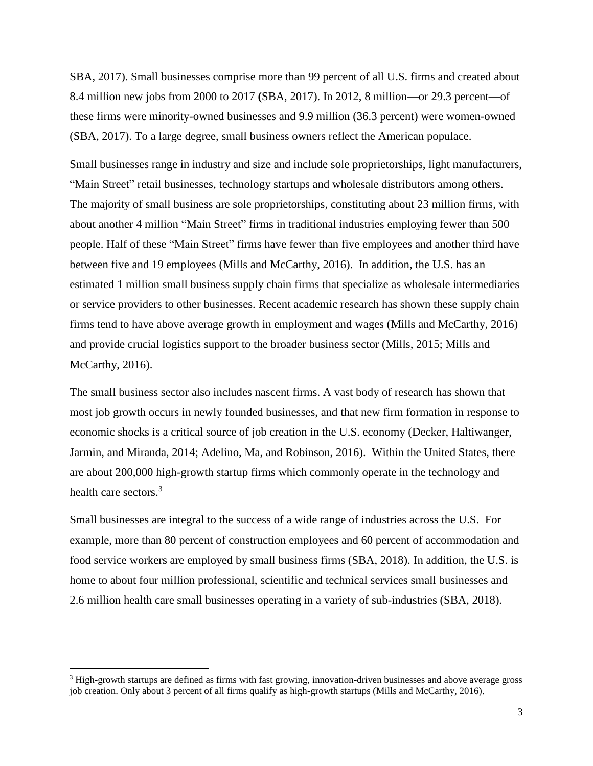SBA, 2017). Small businesses comprise more than 99 percent of all U.S. firms and created about 8.4 million new jobs from 2000 to 2017 **(**SBA, 2017). In 2012, 8 million—or 29.3 percent—of these firms were minority-owned businesses and 9.9 million (36.3 percent) were women-owned (SBA, 2017). To a large degree, small business owners reflect the American populace.

Small businesses range in industry and size and include sole proprietorships, light manufacturers, "Main Street" retail businesses, technology startups and wholesale distributors among others. The majority of small business are sole proprietorships, constituting about 23 million firms, with about another 4 million "Main Street" firms in traditional industries employing fewer than 500 people. Half of these "Main Street" firms have fewer than five employees and another third have between five and 19 employees (Mills and McCarthy, 2016). In addition, the U.S. has an estimated 1 million small business supply chain firms that specialize as wholesale intermediaries or service providers to other businesses. Recent academic research has shown these supply chain firms tend to have above average growth in employment and wages (Mills and McCarthy, 2016) and provide crucial logistics support to the broader business sector (Mills, 2015; Mills and McCarthy, 2016).

The small business sector also includes nascent firms. A vast body of research has shown that most job growth occurs in newly founded businesses, and that new firm formation in response to economic shocks is a critical source of job creation in the U.S. economy (Decker, Haltiwanger, Jarmin, and Miranda, 2014; Adelino, Ma, and Robinson, 2016). Within the United States, there are about 200,000 high-growth startup firms which commonly operate in the technology and health care sectors.<sup>3</sup>

Small businesses are integral to the success of a wide range of industries across the U.S. For example, more than 80 percent of construction employees and 60 percent of accommodation and food service workers are employed by small business firms (SBA, 2018). In addition, the U.S. is home to about four million professional, scientific and technical services small businesses and 2.6 million health care small businesses operating in a variety of sub-industries (SBA, 2018).

<sup>3</sup> High-growth startups are defined as firms with fast growing, innovation-driven businesses and above average gross job creation. Only about 3 percent of all firms qualify as high-growth startups (Mills and McCarthy, 2016).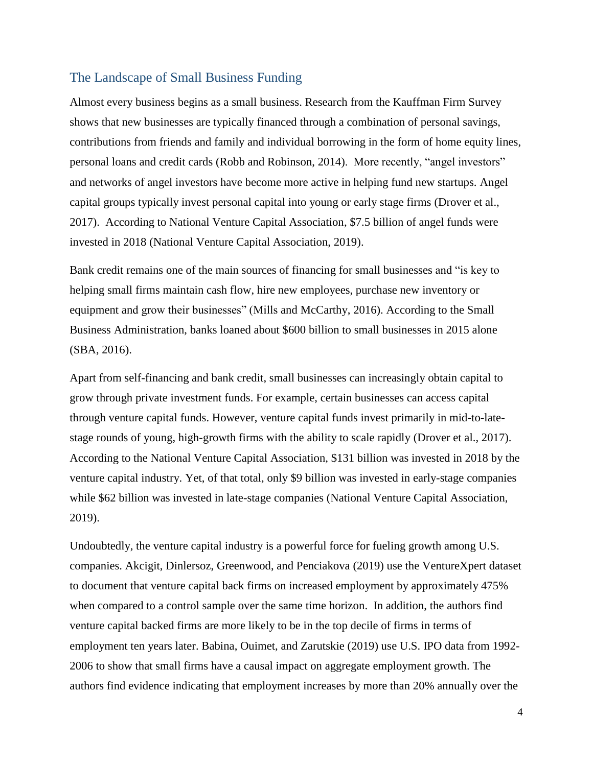## The Landscape of Small Business Funding

Almost every business begins as a small business. Research from the Kauffman Firm Survey shows that new businesses are typically financed through a combination of personal savings, contributions from friends and family and individual borrowing in the form of home equity lines, personal loans and credit cards (Robb and Robinson, 2014). More recently, "angel investors" and networks of angel investors have become more active in helping fund new startups. Angel capital groups typically invest personal capital into young or early stage firms (Drover et al., 2017). According to National Venture Capital Association, \$7.5 billion of angel funds were invested in 2018 (National Venture Capital Association, 2019).

Bank credit remains one of the main sources of financing for small businesses and "is key to helping small firms maintain cash flow, hire new employees, purchase new inventory or equipment and grow their businesses" (Mills and McCarthy, 2016). According to the Small Business Administration, banks loaned about \$600 billion to small businesses in 2015 alone (SBA, 2016).

Apart from self-financing and bank credit, small businesses can increasingly obtain capital to grow through private investment funds. For example, certain businesses can access capital through venture capital funds. However, venture capital funds invest primarily in mid-to-latestage rounds of young, high-growth firms with the ability to scale rapidly (Drover et al., 2017). According to the National Venture Capital Association, \$131 billion was invested in 2018 by the venture capital industry. Yet, of that total, only \$9 billion was invested in early-stage companies while \$62 billion was invested in late-stage companies (National Venture Capital Association, 2019).

Undoubtedly, the venture capital industry is a powerful force for fueling growth among U.S. companies. Akcigit, Dinlersoz, Greenwood, and Penciakova (2019) use the VentureXpert dataset to document that venture capital back firms on increased employment by approximately 475% when compared to a control sample over the same time horizon. In addition, the authors find venture capital backed firms are more likely to be in the top decile of firms in terms of employment ten years later. Babina, Ouimet, and Zarutskie (2019) use U.S. IPO data from 1992- 2006 to show that small firms have a causal impact on aggregate employment growth. The authors find evidence indicating that employment increases by more than 20% annually over the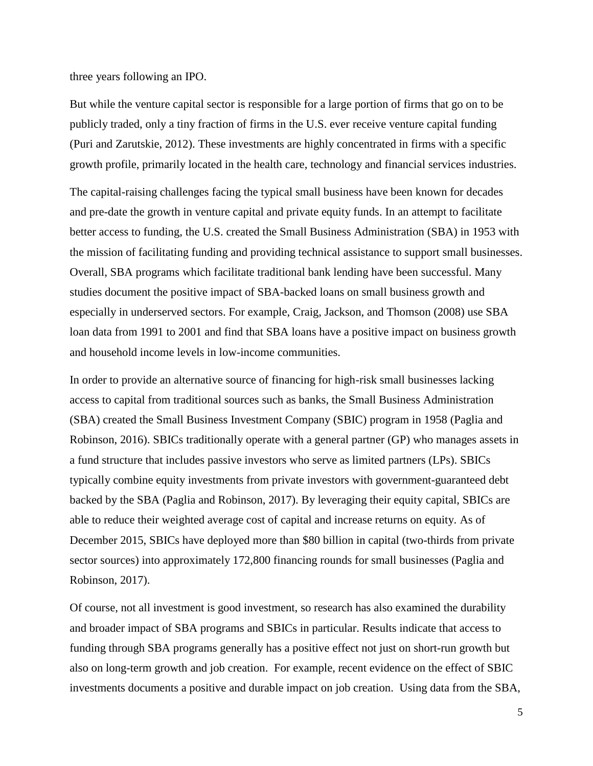three years following an IPO.

But while the venture capital sector is responsible for a large portion of firms that go on to be publicly traded, only a tiny fraction of firms in the U.S. ever receive venture capital funding (Puri and Zarutskie, 2012). These investments are highly concentrated in firms with a specific growth profile, primarily located in the health care, technology and financial services industries.

The capital-raising challenges facing the typical small business have been known for decades and pre-date the growth in venture capital and private equity funds. In an attempt to facilitate better access to funding, the U.S. created the Small Business Administration (SBA) in 1953 with the mission of facilitating funding and providing technical assistance to support small businesses. Overall, SBA programs which facilitate traditional bank lending have been successful. Many studies document the positive impact of SBA-backed loans on small business growth and especially in underserved sectors. For example, Craig, Jackson, and Thomson (2008) use SBA loan data from 1991 to 2001 and find that SBA loans have a positive impact on business growth and household income levels in low-income communities.

In order to provide an alternative source of financing for high-risk small businesses lacking access to capital from traditional sources such as banks, the Small Business Administration (SBA) created the Small Business Investment Company (SBIC) program in 1958 (Paglia and Robinson, 2016). SBICs traditionally operate with a general partner (GP) who manages assets in a fund structure that includes passive investors who serve as limited partners (LPs). SBICs typically combine equity investments from private investors with government-guaranteed debt backed by the SBA (Paglia and Robinson, 2017). By leveraging their equity capital, SBICs are able to reduce their weighted average cost of capital and increase returns on equity. As of December 2015, SBICs have deployed more than \$80 billion in capital (two-thirds from private sector sources) into approximately 172,800 financing rounds for small businesses (Paglia and Robinson, 2017).

Of course, not all investment is good investment, so research has also examined the durability and broader impact of SBA programs and SBICs in particular. Results indicate that access to funding through SBA programs generally has a positive effect not just on short-run growth but also on long-term growth and job creation. For example, recent evidence on the effect of SBIC investments documents a positive and durable impact on job creation. Using data from the SBA,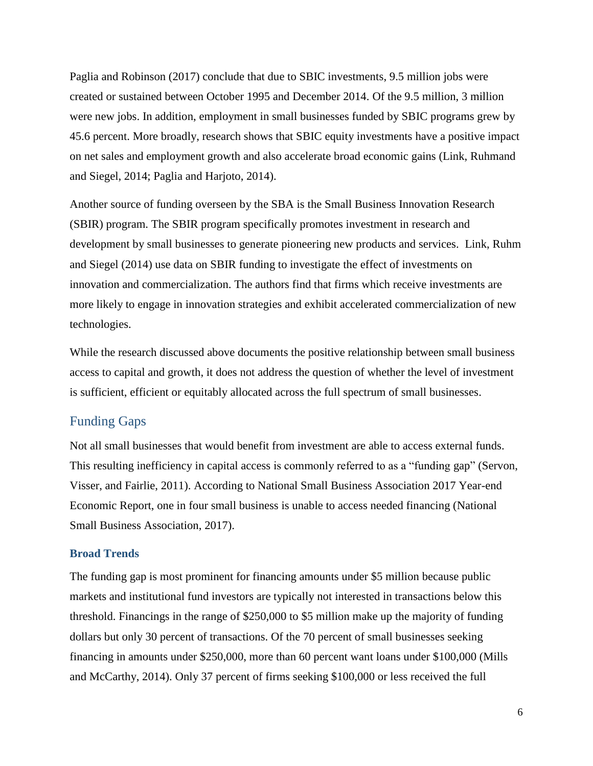Paglia and Robinson (2017) conclude that due to SBIC investments, 9.5 million jobs were created or sustained between October 1995 and December 2014. Of the 9.5 million, 3 million were new jobs. In addition, employment in small businesses funded by SBIC programs grew by 45.6 percent. More broadly, research shows that SBIC equity investments have a positive impact on net sales and employment growth and also accelerate broad economic gains (Link, Ruhmand and Siegel, 2014; Paglia and Harjoto, 2014).

Another source of funding overseen by the SBA is the Small Business Innovation Research (SBIR) program. The SBIR program specifically promotes investment in research and development by small businesses to generate pioneering new products and services. Link, Ruhm and Siegel (2014) use data on SBIR funding to investigate the effect of investments on innovation and commercialization. The authors find that firms which receive investments are more likely to engage in innovation strategies and exhibit accelerated commercialization of new technologies.

While the research discussed above documents the positive relationship between small business access to capital and growth, it does not address the question of whether the level of investment is sufficient, efficient or equitably allocated across the full spectrum of small businesses.

# Funding Gaps

Not all small businesses that would benefit from investment are able to access external funds. This resulting inefficiency in capital access is commonly referred to as a "funding gap" (Servon, Visser, and Fairlie, 2011). According to National Small Business Association 2017 Year-end Economic Report, one in four small business is unable to access needed financing (National Small Business Association, 2017).

#### **Broad Trends**

The funding gap is most prominent for financing amounts under \$5 million because public markets and institutional fund investors are typically not interested in transactions below this threshold. Financings in the range of \$250,000 to \$5 million make up the majority of funding dollars but only 30 percent of transactions. Of the 70 percent of small businesses seeking financing in amounts under \$250,000, more than 60 percent want loans under \$100,000 (Mills and McCarthy, 2014). Only 37 percent of firms seeking \$100,000 or less received the full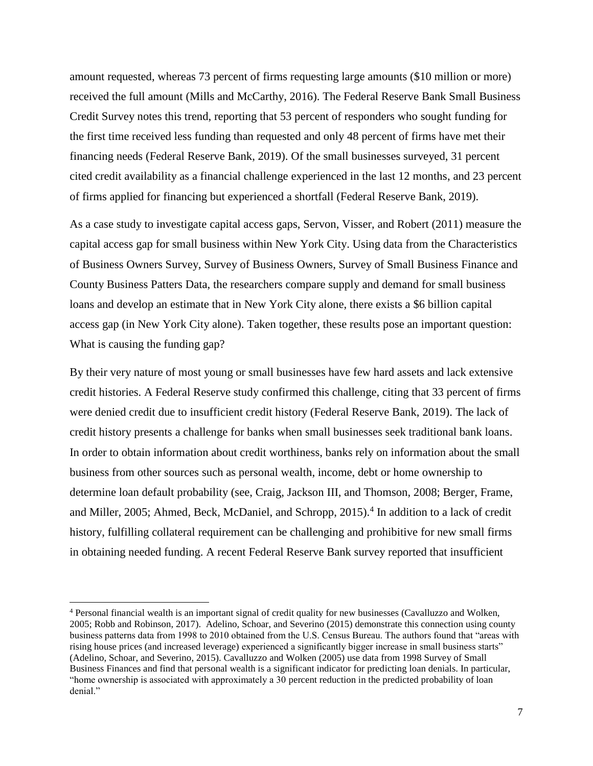amount requested, whereas 73 percent of firms requesting large amounts (\$10 million or more) received the full amount (Mills and McCarthy, 2016). The Federal Reserve Bank Small Business Credit Survey notes this trend, reporting that 53 percent of responders who sought funding for the first time received less funding than requested and only 48 percent of firms have met their financing needs (Federal Reserve Bank, 2019). Of the small businesses surveyed, 31 percent cited credit availability as a financial challenge experienced in the last 12 months, and 23 percent of firms applied for financing but experienced a shortfall (Federal Reserve Bank, 2019).

As a case study to investigate capital access gaps, Servon, Visser, and Robert (2011) measure the capital access gap for small business within New York City. Using data from the Characteristics of Business Owners Survey, Survey of Business Owners, Survey of Small Business Finance and County Business Patters Data, the researchers compare supply and demand for small business loans and develop an estimate that in New York City alone, there exists a \$6 billion capital access gap (in New York City alone). Taken together, these results pose an important question: What is causing the funding gap?

By their very nature of most young or small businesses have few hard assets and lack extensive credit histories. A Federal Reserve study confirmed this challenge, citing that 33 percent of firms were denied credit due to insufficient credit history (Federal Reserve Bank, 2019). The lack of credit history presents a challenge for banks when small businesses seek traditional bank loans. In order to obtain information about credit worthiness, banks rely on information about the small business from other sources such as personal wealth, income, debt or home ownership to determine loan default probability (see, Craig, Jackson III, and Thomson, 2008; Berger, Frame, and Miller, 2005; Ahmed, Beck, McDaniel, and Schropp, 2015). 4 In addition to a lack of credit history, fulfilling collateral requirement can be challenging and prohibitive for new small firms in obtaining needed funding. A recent Federal Reserve Bank survey reported that insufficient

<sup>4</sup> Personal financial wealth is an important signal of credit quality for new businesses (Cavalluzzo and Wolken, 2005; Robb and Robinson, 2017). Adelino, Schoar, and Severino (2015) demonstrate this connection using county business patterns data from 1998 to 2010 obtained from the U.S. Census Bureau. The authors found that "areas with rising house prices (and increased leverage) experienced a significantly bigger increase in small business starts" (Adelino, Schoar, and Severino, 2015). Cavalluzzo and Wolken (2005) use data from 1998 Survey of Small Business Finances and find that personal wealth is a significant indicator for predicting loan denials. In particular, "home ownership is associated with approximately a 30 percent reduction in the predicted probability of loan denial."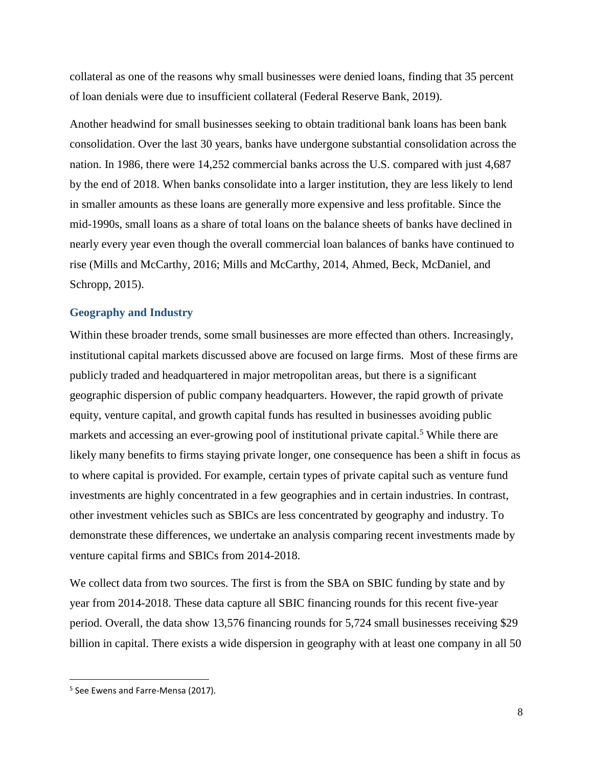collateral as one of the reasons why small businesses were denied loans, finding that 35 percent of loan denials were due to insufficient collateral (Federal Reserve Bank, 2019).

Another headwind for small businesses seeking to obtain traditional bank loans has been bank consolidation. Over the last 30 years, banks have undergone substantial consolidation across the nation. In 1986, there were 14,252 commercial banks across the U.S. compared with just 4,687 by the end of 2018. When banks consolidate into a larger institution, they are less likely to lend in smaller amounts as these loans are generally more expensive and less profitable. Since the mid-1990s, small loans as a share of total loans on the balance sheets of banks have declined in nearly every year even though the overall commercial loan balances of banks have continued to rise (Mills and McCarthy, 2016; Mills and McCarthy, 2014, Ahmed, Beck, McDaniel, and Schropp, 2015).

#### **Geography and Industry**

Within these broader trends, some small businesses are more effected than others. Increasingly, institutional capital markets discussed above are focused on large firms. Most of these firms are publicly traded and headquartered in major metropolitan areas, but there is a significant geographic dispersion of public company headquarters. However, the rapid growth of private equity, venture capital, and growth capital funds has resulted in businesses avoiding public markets and accessing an ever-growing pool of institutional private capital.<sup>5</sup> While there are likely many benefits to firms staying private longer, one consequence has been a shift in focus as to where capital is provided. For example, certain types of private capital such as venture fund investments are highly concentrated in a few geographies and in certain industries. In contrast, other investment vehicles such as SBICs are less concentrated by geography and industry. To demonstrate these differences, we undertake an analysis comparing recent investments made by venture capital firms and SBICs from 2014-2018.

We collect data from two sources. The first is from the SBA on SBIC funding by state and by year from 2014-2018. These data capture all SBIC financing rounds for this recent five-year period. Overall, the data show 13,576 financing rounds for 5,724 small businesses receiving \$29 billion in capital. There exists a wide dispersion in geography with at least one company in all 50

 $\overline{\phantom{a}}$ 

<sup>&</sup>lt;sup>5</sup> See Ewens and Farre-Mensa (2017).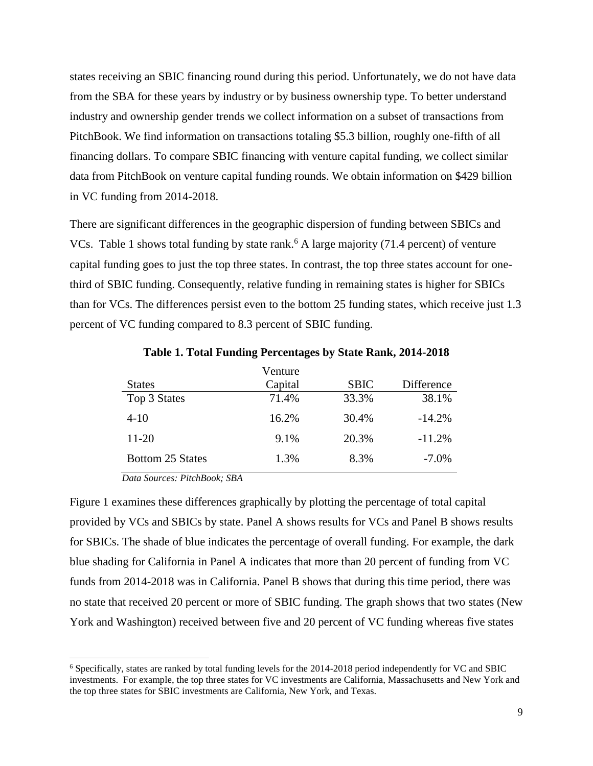states receiving an SBIC financing round during this period. Unfortunately, we do not have data from the SBA for these years by industry or by business ownership type. To better understand industry and ownership gender trends we collect information on a subset of transactions from PitchBook. We find information on transactions totaling \$5.3 billion, roughly one-fifth of all financing dollars. To compare SBIC financing with venture capital funding, we collect similar data from PitchBook on venture capital funding rounds. We obtain information on \$429 billion in VC funding from 2014-2018.

There are significant differences in the geographic dispersion of funding between SBICs and VCs. Table 1 shows total funding by state rank.<sup>6</sup> A large majority  $(71.4 \text{ percent})$  of venture capital funding goes to just the top three states. In contrast, the top three states account for onethird of SBIC funding. Consequently, relative funding in remaining states is higher for SBICs than for VCs. The differences persist even to the bottom 25 funding states, which receive just 1.3 percent of VC funding compared to 8.3 percent of SBIC funding.

|                  | Venture |             |            |
|------------------|---------|-------------|------------|
| <b>States</b>    | Capital | <b>SBIC</b> | Difference |
| Top 3 States     | 71.4%   | 33.3%       | 38.1%      |
| $4 - 10$         | 16.2%   | 30.4%       | $-14.2%$   |
| $11-20$          | 9.1%    | 20.3%       | $-11.2%$   |
| Bottom 25 States | 1.3%    | 8.3%        | $-7.0\%$   |

**Table 1. Total Funding Percentages by State Rank, 2014-2018**

*Data Sources: PitchBook; SBA*

 $\overline{\phantom{a}}$ 

Figure 1 examines these differences graphically by plotting the percentage of total capital provided by VCs and SBICs by state. Panel A shows results for VCs and Panel B shows results for SBICs. The shade of blue indicates the percentage of overall funding. For example, the dark blue shading for California in Panel A indicates that more than 20 percent of funding from VC funds from 2014-2018 was in California. Panel B shows that during this time period, there was no state that received 20 percent or more of SBIC funding. The graph shows that two states (New York and Washington) received between five and 20 percent of VC funding whereas five states

<sup>6</sup> Specifically, states are ranked by total funding levels for the 2014-2018 period independently for VC and SBIC investments. For example, the top three states for VC investments are California, Massachusetts and New York and the top three states for SBIC investments are California, New York, and Texas.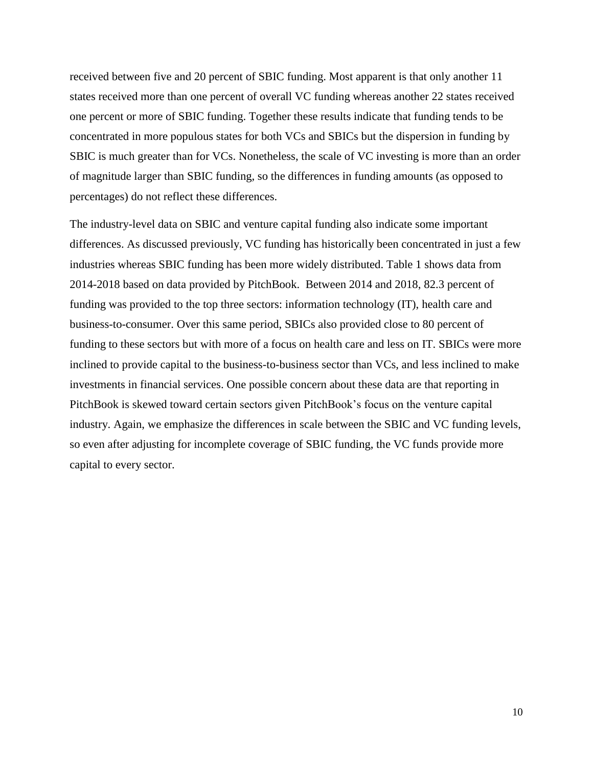received between five and 20 percent of SBIC funding. Most apparent is that only another 11 states received more than one percent of overall VC funding whereas another 22 states received one percent or more of SBIC funding. Together these results indicate that funding tends to be concentrated in more populous states for both VCs and SBICs but the dispersion in funding by SBIC is much greater than for VCs. Nonetheless, the scale of VC investing is more than an order of magnitude larger than SBIC funding, so the differences in funding amounts (as opposed to percentages) do not reflect these differences.

The industry-level data on SBIC and venture capital funding also indicate some important differences. As discussed previously, VC funding has historically been concentrated in just a few industries whereas SBIC funding has been more widely distributed. Table 1 shows data from 2014-2018 based on data provided by PitchBook. Between 2014 and 2018, 82.3 percent of funding was provided to the top three sectors: information technology (IT), health care and business-to-consumer. Over this same period, SBICs also provided close to 80 percent of funding to these sectors but with more of a focus on health care and less on IT. SBICs were more inclined to provide capital to the business-to-business sector than VCs, and less inclined to make investments in financial services. One possible concern about these data are that reporting in PitchBook is skewed toward certain sectors given PitchBook's focus on the venture capital industry. Again, we emphasize the differences in scale between the SBIC and VC funding levels, so even after adjusting for incomplete coverage of SBIC funding, the VC funds provide more capital to every sector.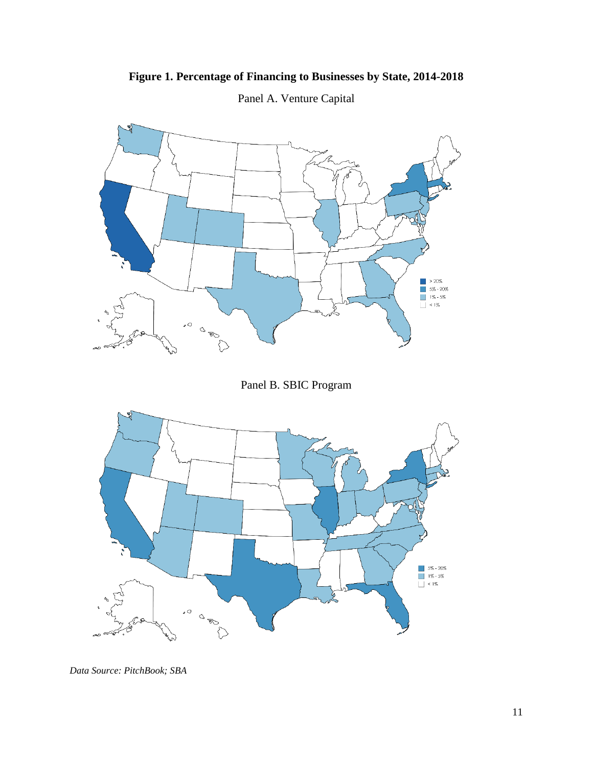# **Figure 1. Percentage of Financing to Businesses by State, 2014-2018**



Panel A. Venture Capital

Panel B. SBIC Program



*Data Source: PitchBook; SBA*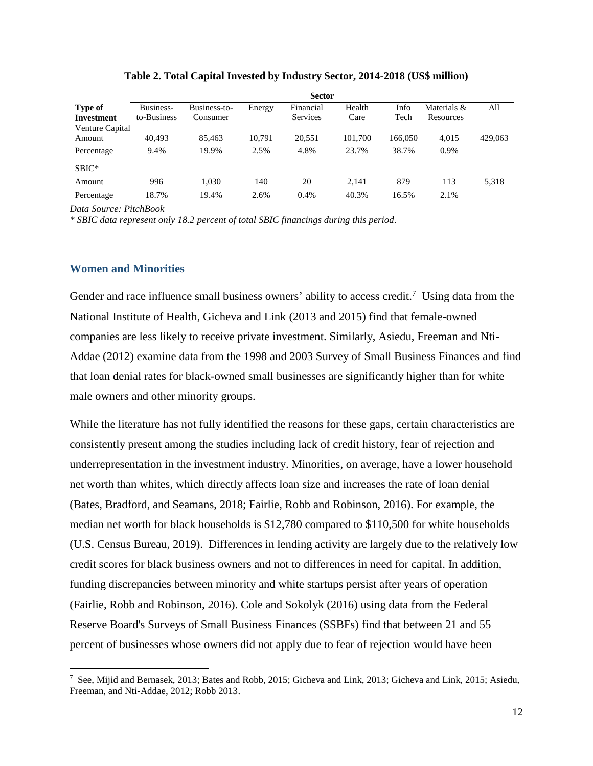|                        | <b>Sector</b> |              |        |                 |         |         |             |         |
|------------------------|---------------|--------------|--------|-----------------|---------|---------|-------------|---------|
| Type of                | Business-     | Business-to- | Energy | Financial       | Health  | Info    | Materials & | All     |
| <b>Investment</b>      | to-Business   | Consumer     |        | <b>Services</b> | Care    | Tech    | Resources   |         |
| <b>Venture Capital</b> |               |              |        |                 |         |         |             |         |
| Amount                 | 40.493        | 85.463       | 10.791 | 20,551          | 101,700 | 166,050 | 4,015       | 429,063 |
| Percentage             | 9.4%          | 19.9%        | 2.5%   | 4.8%            | 23.7%   | 38.7%   | 0.9%        |         |
| $SBIC*$                |               |              |        |                 |         |         |             |         |
| Amount                 | 996           | 1,030        | 140    | 20              | 2.141   | 879     | 113         | 5,318   |
| Percentage             | 18.7%         | 19.4%        | 2.6%   | 0.4%            | 40.3%   | 16.5%   | 2.1%        |         |

**Table 2. Total Capital Invested by Industry Sector, 2014-2018 (US\$ million)**

*Data Source: PitchBook*

*\* SBIC data represent only 18.2 percent of total SBIC financings during this period.*

#### **Women and Minorities**

 $\overline{a}$ 

Gender and race influence small business owners' ability to access credit.<sup>7</sup> Using data from the National Institute of Health, Gicheva and Link (2013 and 2015) find that female-owned companies are less likely to receive private investment. Similarly, Asiedu, Freeman and Nti-Addae (2012) examine data from the 1998 and 2003 Survey of Small Business Finances and find that loan denial rates for black-owned small businesses are significantly higher than for white male owners and other minority groups.

While the literature has not fully identified the reasons for these gaps, certain characteristics are consistently present among the studies including lack of credit history, fear of rejection and underrepresentation in the investment industry. Minorities, on average, have a lower household net worth than whites, which directly affects loan size and increases the rate of loan denial (Bates, Bradford, and Seamans, 2018; Fairlie, Robb and Robinson, 2016). For example, the median net worth for black households is \$12,780 compared to \$110,500 for white households (U.S. Census Bureau, 2019). Differences in lending activity are largely due to the relatively low credit scores for black business owners and not to differences in need for capital. In addition, funding discrepancies between minority and white startups persist after years of operation (Fairlie, Robb and Robinson, 2016). Cole and Sokolyk (2016) using data from the Federal Reserve Board's Surveys of Small Business Finances (SSBFs) find that between 21 and 55 percent of businesses whose owners did not apply due to fear of rejection would have been

<sup>7</sup> See, Mijid and Bernasek, 2013; Bates and Robb, 2015; Gicheva and Link, 2013; Gicheva and Link, 2015; Asiedu, Freeman, and Nti-Addae, 2012; Robb 2013.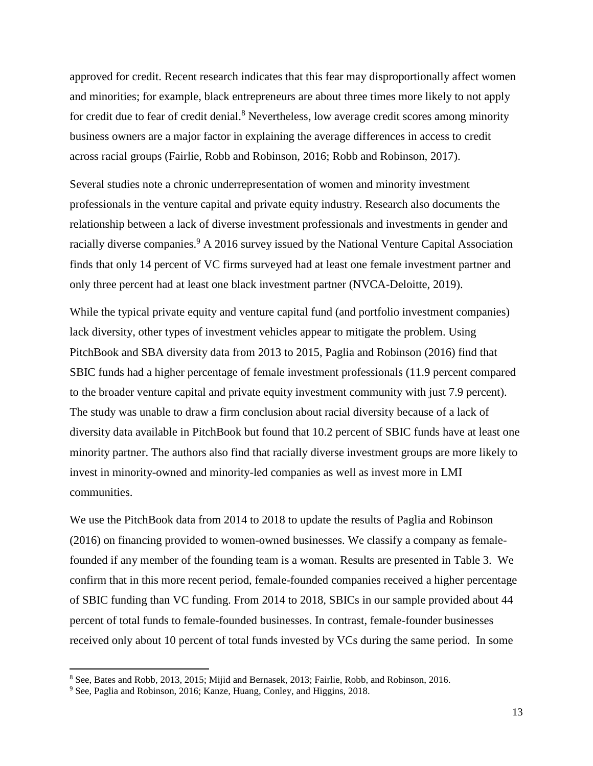approved for credit. Recent research indicates that this fear may disproportionally affect women and minorities; for example, black entrepreneurs are about three times more likely to not apply for credit due to fear of credit denial.<sup>8</sup> Nevertheless, low average credit scores among minority business owners are a major factor in explaining the average differences in access to credit across racial groups (Fairlie, Robb and Robinson, 2016; Robb and Robinson, 2017).

Several studies note a chronic underrepresentation of women and minority investment professionals in the venture capital and private equity industry. Research also documents the relationship between a lack of diverse investment professionals and investments in gender and racially diverse companies.<sup>9</sup> A 2016 survey issued by the National Venture Capital Association finds that only 14 percent of VC firms surveyed had at least one female investment partner and only three percent had at least one black investment partner (NVCA-Deloitte, 2019).

While the typical private equity and venture capital fund (and portfolio investment companies) lack diversity, other types of investment vehicles appear to mitigate the problem. Using PitchBook and SBA diversity data from 2013 to 2015, Paglia and Robinson (2016) find that SBIC funds had a higher percentage of female investment professionals (11.9 percent compared to the broader venture capital and private equity investment community with just 7.9 percent). The study was unable to draw a firm conclusion about racial diversity because of a lack of diversity data available in PitchBook but found that 10.2 percent of SBIC funds have at least one minority partner. The authors also find that racially diverse investment groups are more likely to invest in minority-owned and minority-led companies as well as invest more in LMI communities.

We use the PitchBook data from 2014 to 2018 to update the results of Paglia and Robinson (2016) on financing provided to women-owned businesses. We classify a company as femalefounded if any member of the founding team is a woman. Results are presented in Table 3. We confirm that in this more recent period, female-founded companies received a higher percentage of SBIC funding than VC funding. From 2014 to 2018, SBICs in our sample provided about 44 percent of total funds to female-founded businesses. In contrast, female-founder businesses received only about 10 percent of total funds invested by VCs during the same period. In some

<sup>8</sup> See, Bates and Robb, 2013, 2015; Mijid and Bernasek, 2013; Fairlie, Robb, and Robinson, 2016.

<sup>9</sup> See, Paglia and Robinson, 2016; Kanze, Huang, Conley, and Higgins, 2018.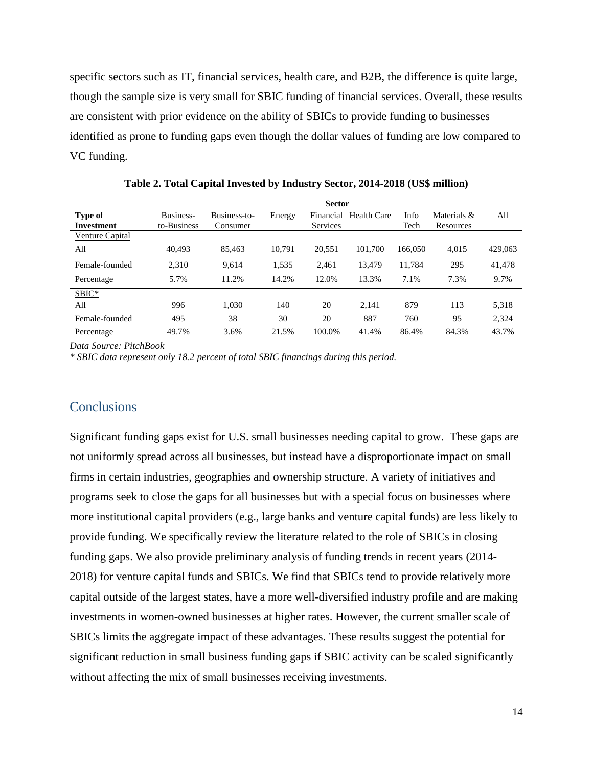specific sectors such as IT, financial services, health care, and B2B, the difference is quite large, though the sample size is very small for SBIC funding of financial services. Overall, these results are consistent with prior evidence on the ability of SBICs to provide funding to businesses identified as prone to funding gaps even though the dollar values of funding are low compared to VC funding.

|                   | <b>Sector</b> |              |        |                 |             |         |             |         |
|-------------------|---------------|--------------|--------|-----------------|-------------|---------|-------------|---------|
| Type of           | Business-     | Business-to- | Energy | Financial       | Health Care | Info    | Materials & | All     |
| <b>Investment</b> | to-Business   | Consumer     |        | <b>Services</b> |             | Tech    | Resources   |         |
| Venture Capital   |               |              |        |                 |             |         |             |         |
| All               | 40.493        | 85.463       | 10,791 | 20,551          | 101,700     | 166,050 | 4,015       | 429,063 |
| Female-founded    | 2,310         | 9,614        | 1,535  | 2.461           | 13.479      | 11,784  | 295         | 41,478  |
| Percentage        | 5.7%          | 11.2%        | 14.2%  | 12.0%           | 13.3%       | 7.1%    | 7.3%        | 9.7%    |
| SBIC*             |               |              |        |                 |             |         |             |         |
| All               | 996           | 1,030        | 140    | 20              | 2,141       | 879     | 113         | 5,318   |
| Female-founded    | 495           | 38           | 30     | 20              | 887         | 760     | 95          | 2,324   |
| Percentage        | 49.7%         | 3.6%         | 21.5%  | 100.0%          | 41.4%       | 86.4%   | 84.3%       | 43.7%   |

**Table 2. Total Capital Invested by Industry Sector, 2014-2018 (US\$ million)**

*Data Source: PitchBook*

*\* SBIC data represent only 18.2 percent of total SBIC financings during this period.*

#### **Conclusions**

Significant funding gaps exist for U.S. small businesses needing capital to grow. These gaps are not uniformly spread across all businesses, but instead have a disproportionate impact on small firms in certain industries, geographies and ownership structure. A variety of initiatives and programs seek to close the gaps for all businesses but with a special focus on businesses where more institutional capital providers (e.g., large banks and venture capital funds) are less likely to provide funding. We specifically review the literature related to the role of SBICs in closing funding gaps. We also provide preliminary analysis of funding trends in recent years (2014- 2018) for venture capital funds and SBICs. We find that SBICs tend to provide relatively more capital outside of the largest states, have a more well-diversified industry profile and are making investments in women-owned businesses at higher rates. However, the current smaller scale of SBICs limits the aggregate impact of these advantages. These results suggest the potential for significant reduction in small business funding gaps if SBIC activity can be scaled significantly without affecting the mix of small businesses receiving investments.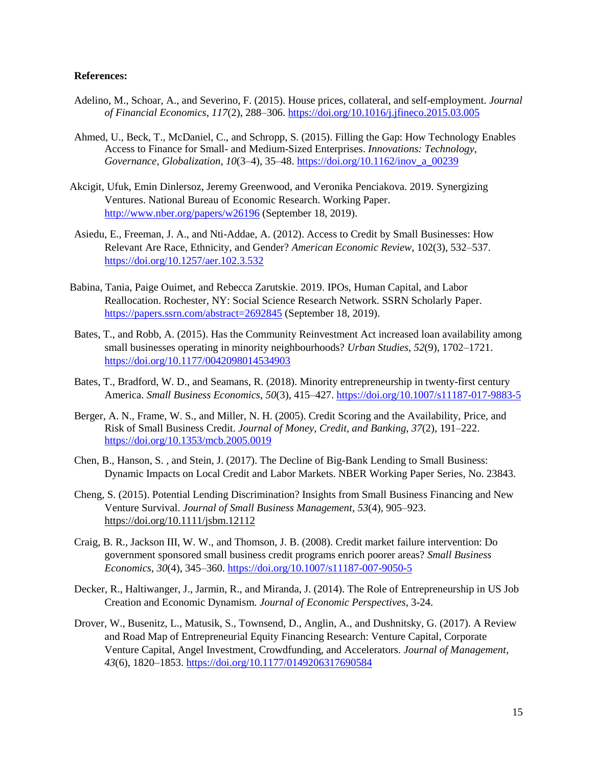#### **References:**

- Adelino, M., Schoar, A., and Severino, F. (2015). House prices, collateral, and self-employment. *Journal of Financial Economics*, *117*(2), 288–306.<https://doi.org/10.1016/j.jfineco.2015.03.005>
- Ahmed, U., Beck, T., McDaniel, C., and Schropp, S. (2015). Filling the Gap: How Technology Enables Access to Finance for Small- and Medium-Sized Enterprises. *Innovations: Technology, Governance, Globalization*, *10*(3–4), 35–48[. https://doi.org/10.1162/inov\\_a\\_00239](https://doi.org/10.1162/inov_a_00239)
- Akcigit, Ufuk, Emin Dinlersoz, Jeremy Greenwood, and Veronika Penciakova. 2019. Synergizing Ventures. National Bureau of Economic Research. Working Paper. <http://www.nber.org/papers/w26196> (September 18, 2019).
- Asiedu, E., Freeman, J. A., and Nti-Addae, A. (2012). Access to Credit by Small Businesses: How Relevant Are Race, Ethnicity, and Gender? *American Economic Review*, 102(3), 532–537. <https://doi.org/10.1257/aer.102.3.532>
- Babina, Tania, Paige Ouimet, and Rebecca Zarutskie. 2019. IPOs, Human Capital, and Labor Reallocation. Rochester, NY: Social Science Research Network. SSRN Scholarly Paper. <https://papers.ssrn.com/abstract=2692845> (September 18, 2019).
- Bates, T., and Robb, A. (2015). Has the Community Reinvestment Act increased loan availability among small businesses operating in minority neighbourhoods? *Urban Studies*, *52*(9), 1702–1721. <https://doi.org/10.1177/0042098014534903>
- Bates, T., Bradford, W. D., and Seamans, R. (2018). Minority entrepreneurship in twenty-first century America. *Small Business Economics*, *50*(3), 415–427.<https://doi.org/10.1007/s11187-017-9883-5>
- Berger, A. N., Frame, W. S., and Miller, N. H. (2005). Credit Scoring and the Availability, Price, and Risk of Small Business Credit. *Journal of Money, Credit, and Banking*, *37*(2), 191–222. <https://doi.org/10.1353/mcb.2005.0019>
- Chen, B., Hanson, S. , and Stein, J. (2017). The Decline of Big-Bank Lending to Small Business: Dynamic Impacts on Local Credit and Labor Markets. NBER Working Paper Series, No. 23843.
- Cheng, S. (2015). Potential Lending Discrimination? Insights from Small Business Financing and New Venture Survival. *Journal of Small Business Management*, *53*(4), 905–923. <https://doi.org/10.1111/jsbm.12112>
- Craig, B. R., Jackson III, W. W., and Thomson, J. B. (2008). Credit market failure intervention: Do government sponsored small business credit programs enrich poorer areas? *Small Business Economics*, *30*(4), 345–360.<https://doi.org/10.1007/s11187-007-9050-5>
- Decker, R., Haltiwanger, J., Jarmin, R., and Miranda, J. (2014). The Role of Entrepreneurship in US Job Creation and Economic Dynamism. *Journal of Economic Perspectives*, 3-24.
- Drover, W., Busenitz, L., Matusik, S., Townsend, D., Anglin, A., and Dushnitsky, G. (2017). A Review and Road Map of Entrepreneurial Equity Financing Research: Venture Capital, Corporate Venture Capital, Angel Investment, Crowdfunding, and Accelerators. *Journal of Management*, *43*(6), 1820–1853.<https://doi.org/10.1177/0149206317690584>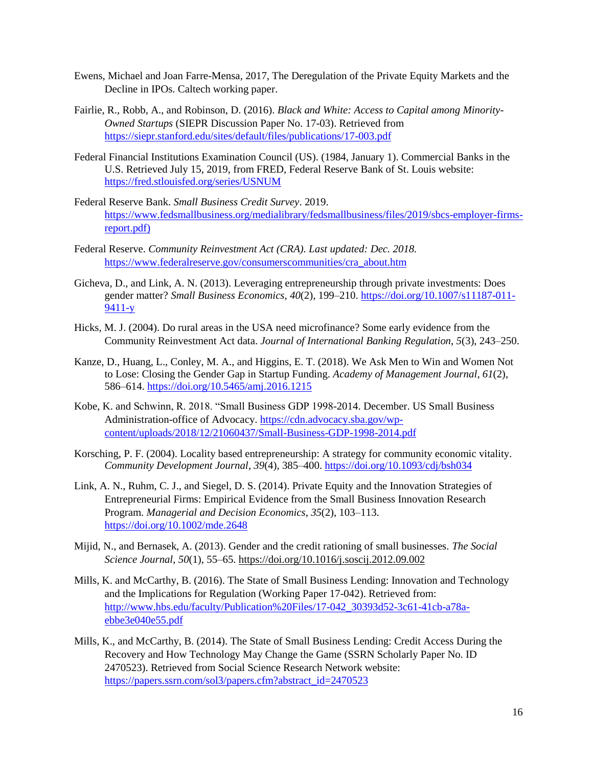- Ewens, Michael and Joan Farre-Mensa, 2017, The Deregulation of the Private Equity Markets and the Decline in IPOs. Caltech working paper.
- Fairlie, R., Robb, A., and Robinson, D. (2016). *Black and White: Access to Capital among Minority-Owned Startups* (SIEPR Discussion Paper No. 17-03). Retrieved from <https://siepr.stanford.edu/sites/default/files/publications/17-003.pdf>
- Federal Financial Institutions Examination Council (US). (1984, January 1). Commercial Banks in the U.S. Retrieved July 15, 2019, from FRED, Federal Reserve Bank of St. Louis website: <https://fred.stlouisfed.org/series/USNUM>
- Federal Reserve Bank. *Small Business Credit Survey*. 2019. [https://www.fedsmallbusiness.org/medialibrary/fedsmallbusiness/files/2019/sbcs-employer-firms](https://www.fedsmallbusiness.org/medialibrary/fedsmallbusiness/files/2019/sbcs-employer-firms-report.pdf))[report.pdf\)](https://www.fedsmallbusiness.org/medialibrary/fedsmallbusiness/files/2019/sbcs-employer-firms-report.pdf))
- Federal Reserve. *Community Reinvestment Act (CRA). Last updated: Dec. 2018.*  [https://www.federalreserve.gov/consumerscommunities/cra\\_about.htm](https://www.federalreserve.gov/consumerscommunities/cra_about.htm)
- Gicheva, D., and Link, A. N. (2013). Leveraging entrepreneurship through private investments: Does gender matter? *Small Business Economics*, *40*(2), 199–210[. https://doi.org/10.1007/s11187-011-](https://doi.org/10.1007/s11187-011-9411-y) [9411-y](https://doi.org/10.1007/s11187-011-9411-y)
- Hicks, M. J. (2004). Do rural areas in the USA need microfinance? Some early evidence from the Community Reinvestment Act data. *Journal of International Banking Regulation*, *5*(3), 243–250.
- Kanze, D., Huang, L., Conley, M. A., and Higgins, E. T. (2018). We Ask Men to Win and Women Not to Lose: Closing the Gender Gap in Startup Funding. *Academy of Management Journal*, *61*(2), 586–614.<https://doi.org/10.5465/amj.2016.1215>
- Kobe, K. and Schwinn, R. 2018. "Small Business GDP 1998-2014. December. US Small Business Administration-office of Advocacy. [https://cdn.advocacy.sba.gov/wp](https://cdn.advocacy.sba.gov/wp-content/uploads/2018/12/21060437/Small-Business-GDP-1998-2014.pdf)[content/uploads/2018/12/21060437/Small-Business-GDP-1998-2014.pdf](https://cdn.advocacy.sba.gov/wp-content/uploads/2018/12/21060437/Small-Business-GDP-1998-2014.pdf)
- Korsching, P. F. (2004). Locality based entrepreneurship: A strategy for community economic vitality. *Community Development Journal*, *39*(4), 385–400.<https://doi.org/10.1093/cdj/bsh034>
- Link, A. N., Ruhm, C. J., and Siegel, D. S. (2014). Private Equity and the Innovation Strategies of Entrepreneurial Firms: Empirical Evidence from the Small Business Innovation Research Program. *Managerial and Decision Economics*, *35*(2), 103–113. <https://doi.org/10.1002/mde.2648>
- Mijid, N., and Bernasek, A. (2013). Gender and the credit rationing of small businesses. *The Social Science Journal*, *50*(1), 55–65.<https://doi.org/10.1016/j.soscij.2012.09.002>
- Mills, K. and McCarthy, B. (2016). The State of Small Business Lending: Innovation and Technology and the Implications for Regulation (Working Paper 17-042). Retrieved from: [http://www.hbs.edu/faculty/Publication%20Files/17-042\\_30393d52-3c61-41cb-a78a](http://www.hbs.edu/faculty/Publication%20Files/17-042_30393d52-3c61-41cb-a78a-ebbe3e040e55.pdf)[ebbe3e040e55.pdf](http://www.hbs.edu/faculty/Publication%20Files/17-042_30393d52-3c61-41cb-a78a-ebbe3e040e55.pdf)
- Mills, K., and McCarthy, B. (2014). The State of Small Business Lending: Credit Access During the Recovery and How Technology May Change the Game (SSRN Scholarly Paper No. ID 2470523). Retrieved from Social Science Research Network website: [https://papers.ssrn.com/sol3/papers.cfm?abstract\\_id=2470523](https://papers.ssrn.com/sol3/papers.cfm?abstract_id=2470523)